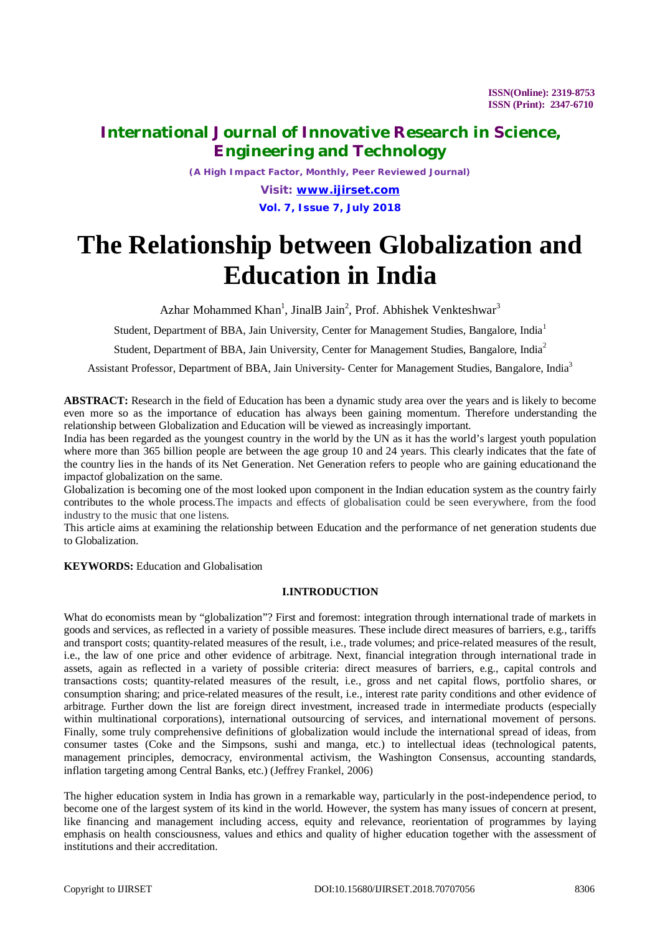*(A High Impact Factor, Monthly, Peer Reviewed Journal)*

*Visit: [www.ijirset.com](http://www.ijirset.com)* **Vol. 7, Issue 7, July 2018**

# **The Relationship between Globalization and Education in India**

Azhar Mohammed Khan<sup>1</sup>, JinalB Jain<sup>2</sup>, Prof. Abhishek Venkteshwar<sup>3</sup>

Student, Department of BBA, Jain University, Center for Management Studies, Bangalore, India<sup>1</sup>

Student, Department of BBA, Jain University, Center for Management Studies, Bangalore, India<sup>2</sup>

Assistant Professor, Department of BBA, Jain University- Center for Management Studies, Bangalore, India<sup>3</sup>

**ABSTRACT:** Research in the field of Education has been a dynamic study area over the years and is likely to become even more so as the importance of education has always been gaining momentum. Therefore understanding the relationship between Globalization and Education will be viewed as increasingly important.

India has been regarded as the youngest country in the world by the UN as it has the world's largest youth population where more than 365 billion people are between the age group 10 and 24 years. This clearly indicates that the fate of the country lies in the hands of its Net Generation. Net Generation refers to people who are gaining educationand the impactof globalization on the same.

Globalization is becoming one of the most looked upon component in the Indian education system as the country fairly contributes to the whole process.The impacts and effects of globalisation could be seen everywhere, from the food industry to the music that one listens.

This article aims at examining the relationship between Education and the performance of net generation students due to Globalization.

**KEYWORDS:** Education and Globalisation

### **I.INTRODUCTION**

What do economists mean by "globalization"? First and foremost: integration through international trade of markets in goods and services, as reflected in a variety of possible measures. These include direct measures of barriers, e.g., tariffs and transport costs; quantity-related measures of the result, i.e., trade volumes; and price-related measures of the result, i.e., the law of one price and other evidence of arbitrage. Next, financial integration through international trade in assets, again as reflected in a variety of possible criteria: direct measures of barriers, e.g., capital controls and transactions costs; quantity-related measures of the result, i.e., gross and net capital flows, portfolio shares, or consumption sharing; and price-related measures of the result, i.e., interest rate parity conditions and other evidence of arbitrage. Further down the list are foreign direct investment, increased trade in intermediate products (especially within multinational corporations), international outsourcing of services, and international movement of persons. Finally, some truly comprehensive definitions of globalization would include the international spread of ideas, from consumer tastes (Coke and the Simpsons, sushi and manga, etc.) to intellectual ideas (technological patents, management principles, democracy, environmental activism, the Washington Consensus, accounting standards, inflation targeting among Central Banks, etc.) (Jeffrey Frankel, 2006)

The higher education system in India has grown in a remarkable way, particularly in the post-independence period, to become one of the largest system of its kind in the world. However, the system has many issues of concern at present, like financing and management including access, equity and relevance, reorientation of programmes by laying emphasis on health consciousness, values and ethics and quality of higher education together with the assessment of institutions and their accreditation.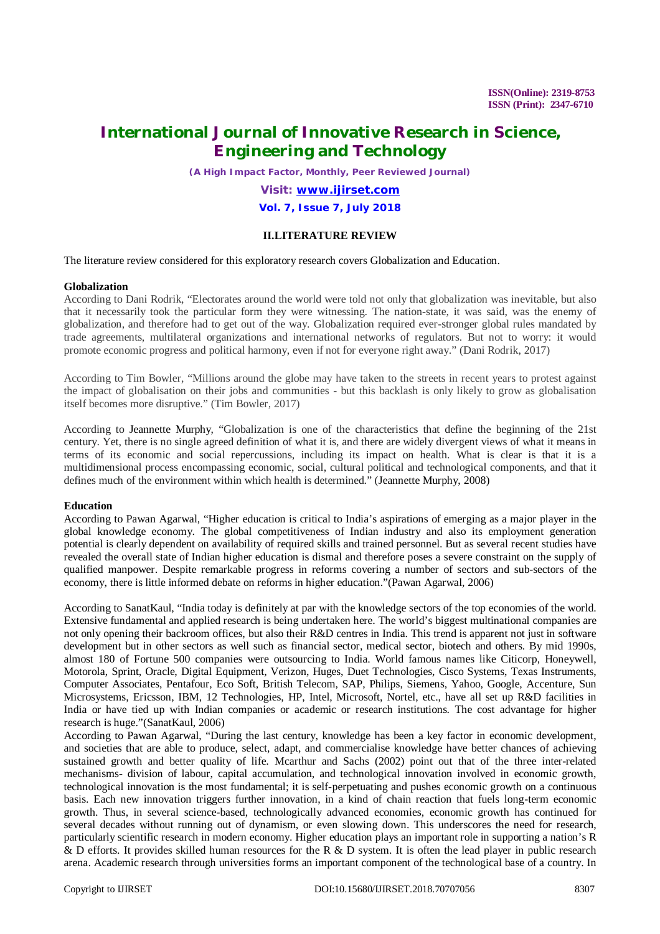*(A High Impact Factor, Monthly, Peer Reviewed Journal)*

### *Visit: [www.ijirset.com](http://www.ijirset.com)* **Vol. 7, Issue 7, July 2018**

### **II.LITERATURE REVIEW**

The literature review considered for this exploratory research covers Globalization and Education.

### **Globalization**

According to Dani Rodrik, "Electorates around the world were told not only that globalization was inevitable, but also that it necessarily took the particular form they were witnessing. The nation-state, it was said, was the enemy of globalization, and therefore had to get out of the way. Globalization required ever-stronger global rules mandated by trade agreements, multilateral organizations and international networks of regulators. But not to worry: it would promote economic progress and political harmony, even if not for everyone right away." (Dani Rodrik, 2017)

According to Tim Bowler, "Millions around the globe may have taken to the streets in recent years to protest against the impact of globalisation on their jobs and communities - but this backlash is only likely to grow as globalisation itself becomes more disruptive." (Tim Bowler, 2017)

According to Jeannette Murphy, "Globalization is one of the characteristics that define the beginning of the 21st century. Yet, there is no single agreed definition of what it is, and there are widely divergent views of what it means in terms of its economic and social repercussions, including its impact on health. What is clear is that it is a multidimensional process encompassing economic, social, cultural political and technological components, and that it defines much of the environment within which health is determined." (Jeannette Murphy, 2008)

#### **Education**

According to Pawan Agarwal, "Higher education is critical to India's aspirations of emerging as a major player in the global knowledge economy. The global competitiveness of Indian industry and also its employment generation potential is clearly dependent on availability of required skills and trained personnel. But as several recent studies have revealed the overall state of Indian higher education is dismal and therefore poses a severe constraint on the supply of qualified manpower. Despite remarkable progress in reforms covering a number of sectors and sub-sectors of the economy, there is little informed debate on reforms in higher education."(Pawan Agarwal, 2006)

According to SanatKaul, "India today is definitely at par with the knowledge sectors of the top economies of the world. Extensive fundamental and applied research is being undertaken here. The world's biggest multinational companies are not only opening their backroom offices, but also their R&D centres in India. This trend is apparent not just in software development but in other sectors as well such as financial sector, medical sector, biotech and others. By mid 1990s, almost 180 of Fortune 500 companies were outsourcing to India. World famous names like Citicorp, Honeywell, Motorola, Sprint, Oracle, Digital Equipment, Verizon, Huges, Duet Technologies, Cisco Systems, Texas Instruments, Computer Associates, Pentafour, Eco Soft, British Telecom, SAP, Philips, Siemens, Yahoo, Google, Accenture, Sun Microsystems, Ericsson, IBM, 12 Technologies, HP, Intel, Microsoft, Nortel, etc., have all set up R&D facilities in India or have tied up with Indian companies or academic or research institutions. The cost advantage for higher research is huge."(SanatKaul, 2006)

According to Pawan Agarwal, "During the last century, knowledge has been a key factor in economic development, and societies that are able to produce, select, adapt, and commercialise knowledge have better chances of achieving sustained growth and better quality of life. Mcarthur and Sachs (2002) point out that of the three inter-related mechanisms- division of labour, capital accumulation, and technological innovation involved in economic growth, technological innovation is the most fundamental; it is self-perpetuating and pushes economic growth on a continuous basis. Each new innovation triggers further innovation, in a kind of chain reaction that fuels long-term economic growth. Thus, in several science-based, technologically advanced economies, economic growth has continued for several decades without running out of dynamism, or even slowing down. This underscores the need for research, particularly scientific research in modern economy. Higher education plays an important role in supporting a nation's R & D efforts. It provides skilled human resources for the R & D system. It is often the lead player in public research arena. Academic research through universities forms an important component of the technological base of a country. In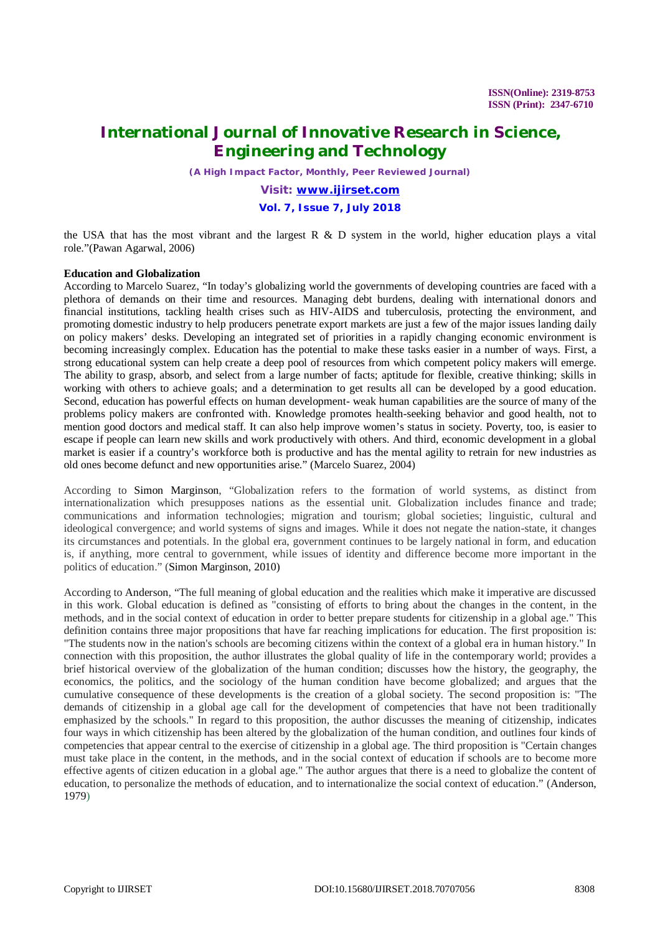*(A High Impact Factor, Monthly, Peer Reviewed Journal)*

### *Visit: [www.ijirset.com](http://www.ijirset.com)* **Vol. 7, Issue 7, July 2018**

the USA that has the most vibrant and the largest R  $\&$  D system in the world, higher education plays a vital role."(Pawan Agarwal, 2006)

### **Education and Globalization**

According to Marcelo Suarez, "In today's globalizing world the governments of developing countries are faced with a plethora of demands on their time and resources. Managing debt burdens, dealing with international donors and financial institutions, tackling health crises such as HIV-AIDS and tuberculosis, protecting the environment, and promoting domestic industry to help producers penetrate export markets are just a few of the major issues landing daily on policy makers' desks. Developing an integrated set of priorities in a rapidly changing economic environment is becoming increasingly complex. Education has the potential to make these tasks easier in a number of ways. First, a strong educational system can help create a deep pool of resources from which competent policy makers will emerge. The ability to grasp, absorb, and select from a large number of facts; aptitude for flexible, creative thinking; skills in working with others to achieve goals; and a determination to get results all can be developed by a good education. Second, education has powerful effects on human development- weak human capabilities are the source of many of the problems policy makers are confronted with. Knowledge promotes health-seeking behavior and good health, not to mention good doctors and medical staff. It can also help improve women's status in society. Poverty, too, is easier to escape if people can learn new skills and work productively with others. And third, economic development in a global market is easier if a country's workforce both is productive and has the mental agility to retrain for new industries as old ones become defunct and new opportunities arise." (Marcelo Suarez, 2004)

According to Simon Marginson, "Globalization refers to the formation of world systems, as distinct from internationalization which presupposes nations as the essential unit. Globalization includes finance and trade; communications and information technologies; migration and tourism; global societies; linguistic, cultural and ideological convergence; and world systems of signs and images. While it does not negate the nation-state, it changes its circumstances and potentials. In the global era, government continues to be largely national in form, and education is, if anything, more central to government, while issues of identity and difference become more important in the politics of education." (Simon Marginson, 2010)

According to Anderson, "The full meaning of global education and the realities which make it imperative are discussed in this work. Global education is defined as "consisting of efforts to bring about the changes in the content, in the methods, and in the social context of education in order to better prepare students for citizenship in a global age." This definition contains three major propositions that have far reaching implications for education. The first proposition is: "The students now in the nation's schools are becoming citizens within the context of a global era in human history." In connection with this proposition, the author illustrates the global quality of life in the contemporary world; provides a brief historical overview of the globalization of the human condition; discusses how the history, the geography, the economics, the politics, and the sociology of the human condition have become globalized; and argues that the cumulative consequence of these developments is the creation of a global society. The second proposition is: "The demands of citizenship in a global age call for the development of competencies that have not been traditionally emphasized by the schools." In regard to this proposition, the author discusses the meaning of citizenship, indicates four ways in which citizenship has been altered by the globalization of the human condition, and outlines four kinds of competencies that appear central to the exercise of citizenship in a global age. The third proposition is "Certain changes must take place in the content, in the methods, and in the social context of education if schools are to become more effective agents of citizen education in a global age." The author argues that there is a need to globalize the content of education, to personalize the methods of education, and to internationalize the social context of education." (Anderson, 1979)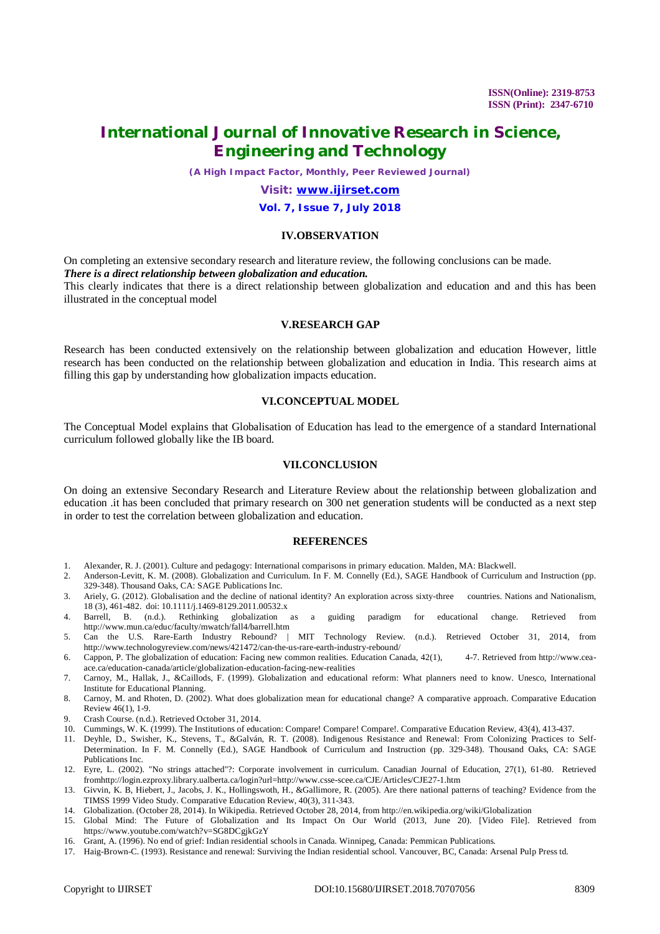*(A High Impact Factor, Monthly, Peer Reviewed Journal)*

### *Visit: [www.ijirset.com](http://www.ijirset.com)*

#### **Vol. 7, Issue 7, July 2018**

### **IV.OBSERVATION**

On completing an extensive secondary research and literature review, the following conclusions can be made. *There is a direct relationship between globalization and education.*

This clearly indicates that there is a direct relationship between globalization and education and and this has been illustrated in the conceptual model

### **V.RESEARCH GAP**

Research has been conducted extensively on the relationship between globalization and education However, little research has been conducted on the relationship between globalization and education in India. This research aims at filling this gap by understanding how globalization impacts education.

#### **VI.CONCEPTUAL MODEL**

The Conceptual Model explains that Globalisation of Education has lead to the emergence of a standard International curriculum followed globally like the IB board.

#### **VII.CONCLUSION**

On doing an extensive Secondary Research and Literature Review about the relationship between globalization and education .it has been concluded that primary research on 300 net generation students will be conducted as a next step in order to test the correlation between globalization and education.

### **REFERENCES**

- 1. Alexander, R. J. (2001). Culture and pedagogy: International comparisons in primary education. Malden, MA: Blackwell.
- 2. Anderson-Levitt, K. M. (2008). Globalization and Curriculum. In F. M. Connelly (Ed.), SAGE Handbook of Curriculum and Instruction (pp. 329-348). Thousand Oaks, CA: SAGE Publications Inc.
- 3. Ariely, G. (2012). Globalisation and the decline of national identity? An exploration across sixty-three countries. Nations and Nationalism, 18 (3), 461-482. doi: 10.1111/j.1469-8129.2011.00532.x
- 4. Barrell, B. (n.d.). Rethinking globalization as a guiding paradigm for educational change. Retrieved from <http://www.mun.ca/educ/faculty/mwatch/fall4/barrell.htm>
- 5. Can the U.S. Rare-Earth Industry Rebound? | MIT Technology Review. (n.d.). Retrieved October 31, 2014, from <http://www.technologyreview.com/news/421472/can-the-us-rare-earth-industry-rebound/>
- 6. Cappon, P. The globalization of education: Facing new common realities. Education Canada, 42(1), 4-7. Retrieved from [http://www.cea](http://www.cea-)ace.ca/education-canada/article/globalization-education-facing-new-realities
- 7. Carnoy, M., Hallak, J., &Caillods, F. (1999). Globalization and educational reform: What planners need to know. Unesco, International Institute for Educational Planning.
- 8. Carnoy, M. and Rhoten, D. (2002). What does globalization mean for educational change? A comparative approach. Comparative Education Review 46(1), 1-9.
- 9. Crash Course. (n.d.). Retrieved October 31, 2014.
- 10. Cummings, W. K. (1999). The Institutions of education: Compare! Compare! Compare!. Comparative Education Review, 43(4), 413-437.
- 11. Deyhle, D., Swisher, K., Stevens, T., &Galván, R. T. (2008). Indigenous Resistance and Renewal: From Colonizing Practices to Self-Determination. In F. M. Connelly (Ed.), SAGE Handbook of Curriculum and Instruction (pp. 329-348). Thousand Oaks, CA: SAGE Publications Inc.
- 12. Eyre, L. (2002). "No strings attached"?: Corporate involvement in curriculum. Canadian Journal of Education, 27(1), 61-80. Retrieved fro[mhttp://login.ezproxy.library.ualberta.ca/login?url=http://www.csse-scee.ca/CJE/Articles/CJE27-1.htm](http://login.ezproxy.library.ualberta.ca/login?url=http://www.csse-scee.ca/CJE/Articles/CJE27-1.htm)
- 13. Givvin, K. B, Hiebert, J., Jacobs, J. K., Hollingswoth, H., &Gallimore, R. (2005). Are there national patterns of teaching? Evidence from the TIMSS 1999 Video Study. Comparative Education Review, 40(3), 311-343.
- 14. Globalization. (October 28, 2014). In Wikipedia. Retrieved October 28, 2014, from<http://en.wikipedia.org/wiki/Globalization>
- 15. Global Mind: The Future of Globalization and Its Impact On Our World (2013, June 20). [Video File]. Retrieved from <https://www.youtube.com/watch?v=SG8DCgjkGzY>
- 16. Grant, A. (1996). No end of grief: Indian residential schools in Canada. Winnipeg, Canada: Pemmican Publications.
- 17. Haig-Brown-C. (1993). Resistance and renewal: Surviving the Indian residential school. Vancouver, BC, Canada: Arsenal Pulp Press td.